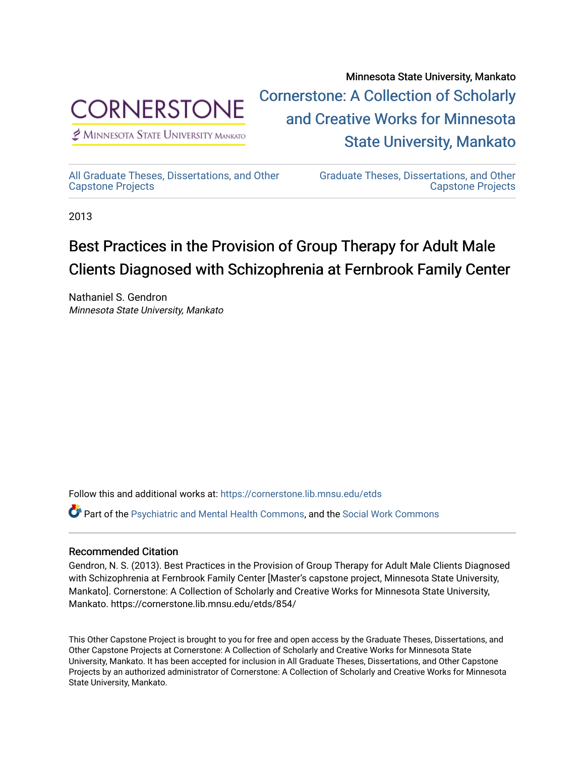

 $<sup>2</sup>$  Minnesota State University Mankato</sup>

Minnesota State University, Mankato [Cornerstone: A Collection of Scholarly](https://cornerstone.lib.mnsu.edu/)  [and Creative Works for Minnesota](https://cornerstone.lib.mnsu.edu/)  [State University, Mankato](https://cornerstone.lib.mnsu.edu/) 

[All Graduate Theses, Dissertations, and Other](https://cornerstone.lib.mnsu.edu/etds)  [Capstone Projects](https://cornerstone.lib.mnsu.edu/etds) 

[Graduate Theses, Dissertations, and Other](https://cornerstone.lib.mnsu.edu/theses_dissertations-capstone)  [Capstone Projects](https://cornerstone.lib.mnsu.edu/theses_dissertations-capstone) 

2013

#### Best Practices in the Provision of Group Therapy for Adult Male Clients Diagnosed with Schizophrenia at Fernbrook Family Center

Nathaniel S. Gendron Minnesota State University, Mankato

Follow this and additional works at: [https://cornerstone.lib.mnsu.edu/etds](https://cornerstone.lib.mnsu.edu/etds?utm_source=cornerstone.lib.mnsu.edu%2Fetds%2F854&utm_medium=PDF&utm_campaign=PDFCoverPages) 

Part of the [Psychiatric and Mental Health Commons,](http://network.bepress.com/hgg/discipline/711?utm_source=cornerstone.lib.mnsu.edu%2Fetds%2F854&utm_medium=PDF&utm_campaign=PDFCoverPages) and the [Social Work Commons](http://network.bepress.com/hgg/discipline/713?utm_source=cornerstone.lib.mnsu.edu%2Fetds%2F854&utm_medium=PDF&utm_campaign=PDFCoverPages) 

#### Recommended Citation

Gendron, N. S. (2013). Best Practices in the Provision of Group Therapy for Adult Male Clients Diagnosed with Schizophrenia at Fernbrook Family Center [Master's capstone project, Minnesota State University, Mankato]. Cornerstone: A Collection of Scholarly and Creative Works for Minnesota State University, Mankato. https://cornerstone.lib.mnsu.edu/etds/854/

This Other Capstone Project is brought to you for free and open access by the Graduate Theses, Dissertations, and Other Capstone Projects at Cornerstone: A Collection of Scholarly and Creative Works for Minnesota State University, Mankato. It has been accepted for inclusion in All Graduate Theses, Dissertations, and Other Capstone Projects by an authorized administrator of Cornerstone: A Collection of Scholarly and Creative Works for Minnesota State University, Mankato.